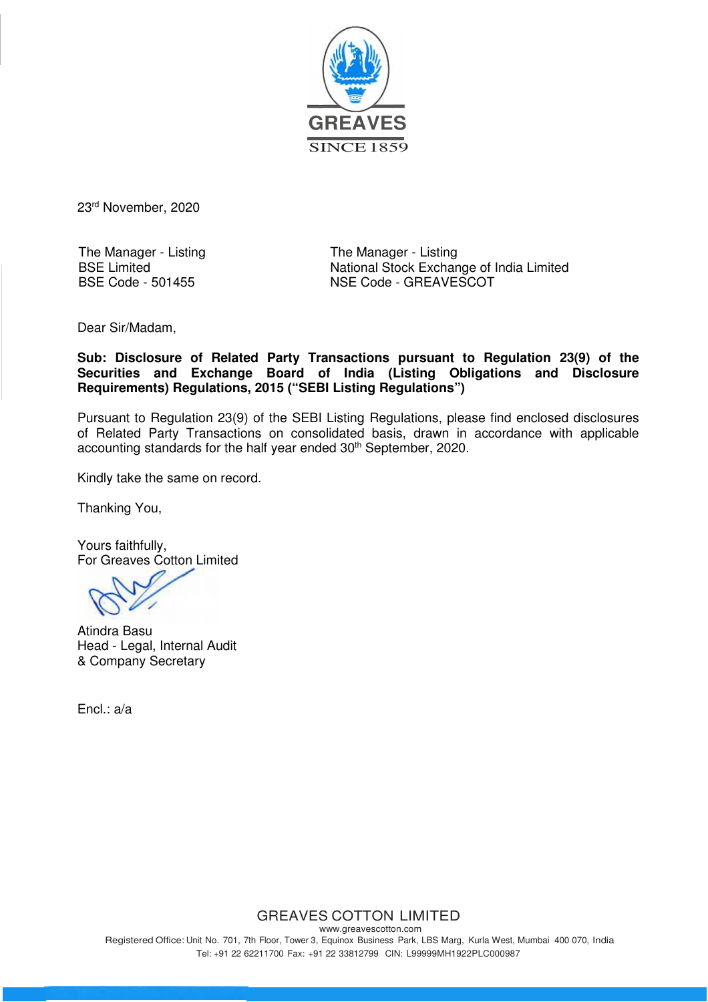

23rd November, 2020

The Manager - Listing BSE Limited BSE Code - 501455

The Manager - Listing National Stock Exchange of India Limited NSE Code - GREAVESCOT

Dear Sir/Madam,

**Sub: Disclosure of Related Party Transactions pursuant to Regulation 23(9) of the Securities and Exchange Board of India (Listing Obligations and Disclosure Requirements) Regulations, 2015 ("SEBI Listing Regulations")**

Pursuant to Regulation 23(9) of the SEBI Listing Regulations, please find enclosed disclosures of Related Party Transactions on consolidated basis, drawn in accordance with applicable accounting standards for the half year ended 30<sup>th</sup> September, 2020.

Kindly take the same on record.

Thanking You,

Yours faithfully, For Greaves Cotton Limited

Atindra Basu Head - Legal, Internal Audit & Company Secretary

Encl.: a/a

## GREAVES COTTON LIMITED

www.greavescotton.com Registered Office: Unit No. 701, 7th Floor, Tower 3, Equinox Business Park, LBS Marg, Kurla West, Mumbai 400 070, India Tel: +91 22 62211700 Fax: +91 22 33812799 CIN: L99999MH1922PLC000987